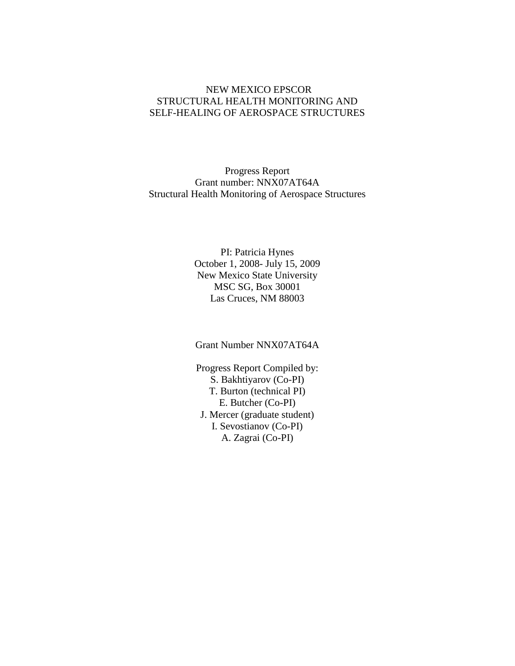#### NEW MEXICO EPSCOR STRUCTURAL HEALTH MONITORING AND SELF-HEALING OF AEROSPACE STRUCTURES

Progress Report Grant number: NNX07AT64A Structural Health Monitoring of Aerospace Structures

> PI: Patricia Hynes October 1, 2008- July 15, 2009 New Mexico State University MSC SG, Box 30001 Las Cruces, NM 88003

Grant Number NNX07AT64A

Progress Report Compiled by: S. Bakhtiyarov (Co-PI) T. Burton (technical PI) E. Butcher (Co-PI) J. Mercer (graduate student) I. Sevostianov (Co-PI) A. Zagrai (Co-PI)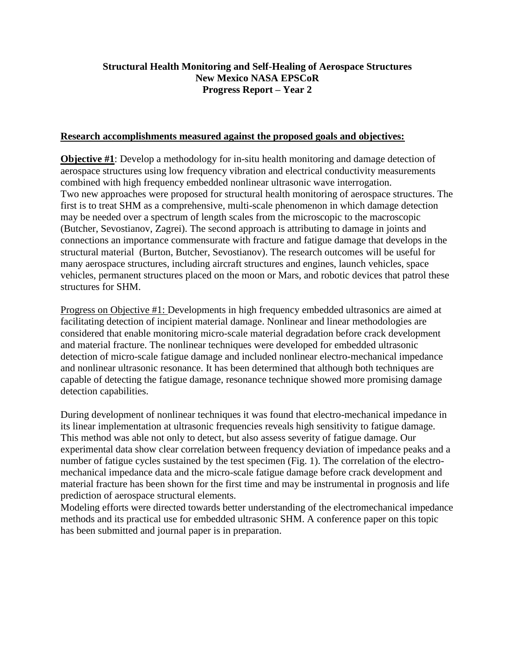#### **Structural Health Monitoring and Self-Healing of Aerospace Structures New Mexico NASA EPSCoR Progress Report – Year 2**

#### **Research accomplishments measured against the proposed goals and objectives:**

**Objective #1**: Develop a methodology for in-situ health monitoring and damage detection of aerospace structures using low frequency vibration and electrical conductivity measurements combined with high frequency embedded nonlinear ultrasonic wave interrogation. Two new approaches were proposed for structural health monitoring of aerospace structures. The first is to treat SHM as a comprehensive, multi-scale phenomenon in which damage detection may be needed over a spectrum of length scales from the microscopic to the macroscopic (Butcher, Sevostianov, Zagrei). The second approach is attributing to damage in joints and connections an importance commensurate with fracture and fatigue damage that develops in the structural material (Burton, Butcher, Sevostianov). The research outcomes will be useful for many aerospace structures, including aircraft structures and engines, launch vehicles, space vehicles, permanent structures placed on the moon or Mars, and robotic devices that patrol these structures for SHM.

Progress on Objective #1: Developments in high frequency embedded ultrasonics are aimed at facilitating detection of incipient material damage. Nonlinear and linear methodologies are considered that enable monitoring micro-scale material degradation before crack development and material fracture. The nonlinear techniques were developed for embedded ultrasonic detection of micro-scale fatigue damage and included nonlinear electro-mechanical impedance and nonlinear ultrasonic resonance. It has been determined that although both techniques are capable of detecting the fatigue damage, resonance technique showed more promising damage detection capabilities.

During development of nonlinear techniques it was found that electro-mechanical impedance in its linear implementation at ultrasonic frequencies reveals high sensitivity to fatigue damage. This method was able not only to detect, but also assess severity of fatigue damage. Our experimental data show clear correlation between frequency deviation of impedance peaks and a number of fatigue cycles sustained by the test specimen (Fig. 1). The correlation of the electromechanical impedance data and the micro-scale fatigue damage before crack development and material fracture has been shown for the first time and may be instrumental in prognosis and life prediction of aerospace structural elements.

Modeling efforts were directed towards better understanding of the electromechanical impedance methods and its practical use for embedded ultrasonic SHM. A conference paper on this topic has been submitted and journal paper is in preparation.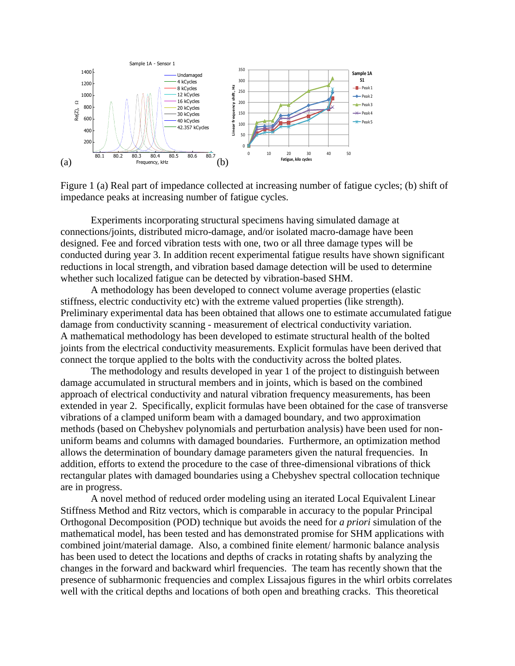

Figure 1 (a) Real part of impedance collected at increasing number of fatigue cycles; (b) shift of impedance peaks at increasing number of fatigue cycles.

Experiments incorporating structural specimens having simulated damage at connections/joints, distributed micro-damage, and/or isolated macro-damage have been designed. Fee and forced vibration tests with one, two or all three damage types will be conducted during year 3. In addition recent experimental fatigue results have shown significant reductions in local strength, and vibration based damage detection will be used to determine whether such localized fatigue can be detected by vibration-based SHM.

A methodology has been developed to connect volume average properties (elastic stiffness, electric conductivity etc) with the extreme valued properties (like strength). Preliminary experimental data has been obtained that allows one to estimate accumulated fatigue damage from conductivity scanning - measurement of electrical conductivity variation. A mathematical methodology has been developed to estimate structural health of the bolted joints from the electrical conductivity measurements. Explicit formulas have been derived that connect the torque applied to the bolts with the conductivity across the bolted plates.

The methodology and results developed in year 1 of the project to distinguish between damage accumulated in structural members and in joints, which is based on the combined approach of electrical conductivity and natural vibration frequency measurements, has been extended in year 2. Specifically, explicit formulas have been obtained for the case of transverse vibrations of a clamped uniform beam with a damaged boundary, and two approximation methods (based on Chebyshev polynomials and perturbation analysis) have been used for nonuniform beams and columns with damaged boundaries. Furthermore, an optimization method allows the determination of boundary damage parameters given the natural frequencies. In addition, efforts to extend the procedure to the case of three-dimensional vibrations of thick rectangular plates with damaged boundaries using a Chebyshev spectral collocation technique are in progress.

A novel method of reduced order modeling using an iterated Local Equivalent Linear Stiffness Method and Ritz vectors, which is comparable in accuracy to the popular Principal Orthogonal Decomposition (POD) technique but avoids the need for *a priori* simulation of the mathematical model, has been tested and has demonstrated promise for SHM applications with combined joint/material damage. Also, a combined finite element/ harmonic balance analysis has been used to detect the locations and depths of cracks in rotating shafts by analyzing the changes in the forward and backward whirl frequencies. The team has recently shown that the presence of subharmonic frequencies and complex Lissajous figures in the whirl orbits correlates well with the critical depths and locations of both open and breathing cracks. This theoretical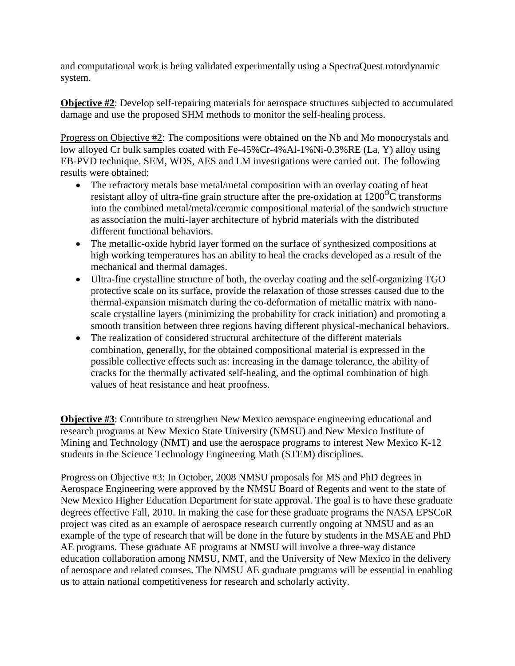and computational work is being validated experimentally using a SpectraQuest rotordynamic system.

**Objective #2**: Develop self-repairing materials for aerospace structures subjected to accumulated damage and use the proposed SHM methods to monitor the self-healing process.

Progress on Objective #2: The compositions were obtained on the Nb and Mo monocrystals and low alloyed Cr bulk samples coated with Fe-45%Cr-4%Al-1%Ni-0.3%RE (La, Y) alloy using EB-PVD technique. SEM, WDS, AES and LM investigations were carried out. The following results were obtained:

- The refractory metals base metal/metal composition with an overlay coating of heat resistant alloy of ultra-fine grain structure after the pre-oxidation at  $1200^{\circ}$ C transforms into the combined metal/metal/ceramic compositional material of the sandwich structure as association the multi-layer architecture of hybrid materials with the distributed different functional behaviors.
- The metallic-oxide hybrid layer formed on the surface of synthesized compositions at high working temperatures has an ability to heal the cracks developed as a result of the mechanical and thermal damages.
- Ultra-fine crystalline structure of both, the overlay coating and the self-organizing TGO protective scale on its surface, provide the relaxation of those stresses caused due to the thermal-expansion mismatch during the co-deformation of metallic matrix with nanoscale crystalline layers (minimizing the probability for crack initiation) and promoting a smooth transition between three regions having different physical-mechanical behaviors.
- The realization of considered structural architecture of the different materials combination, generally, for the obtained compositional material is expressed in the possible collective effects such as: increasing in the damage tolerance, the ability of cracks for the thermally activated self-healing, and the optimal combination of high values of heat resistance and heat proofness.

**Objective #3**: Contribute to strengthen New Mexico aerospace engineering educational and research programs at New Mexico State University (NMSU) and New Mexico Institute of Mining and Technology (NMT) and use the aerospace programs to interest New Mexico K-12 students in the Science Technology Engineering Math (STEM) disciplines.

Progress on Objective #3: In October, 2008 NMSU proposals for MS and PhD degrees in Aerospace Engineering were approved by the NMSU Board of Regents and went to the state of New Mexico Higher Education Department for state approval. The goal is to have these graduate degrees effective Fall, 2010. In making the case for these graduate programs the NASA EPSCoR project was cited as an example of aerospace research currently ongoing at NMSU and as an example of the type of research that will be done in the future by students in the MSAE and PhD AE programs. These graduate AE programs at NMSU will involve a three-way distance education collaboration among NMSU, NMT, and the University of New Mexico in the delivery of aerospace and related courses. The NMSU AE graduate programs will be essential in enabling us to attain national competitiveness for research and scholarly activity.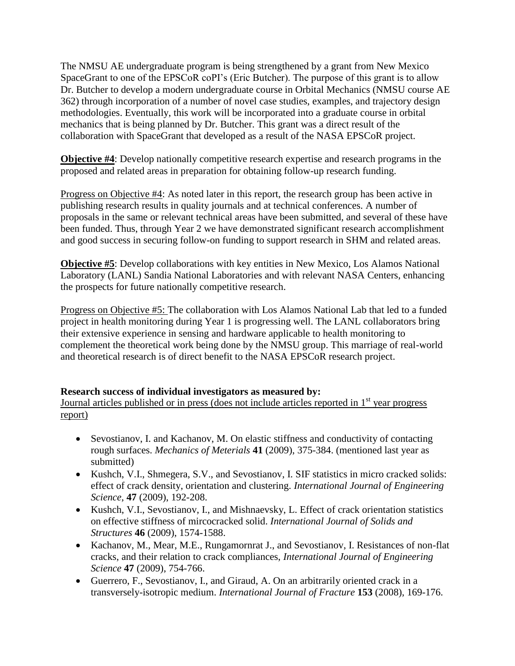The NMSU AE undergraduate program is being strengthened by a grant from New Mexico SpaceGrant to one of the EPSCoR coPI's (Eric Butcher). The purpose of this grant is to allow Dr. Butcher to develop a modern undergraduate course in Orbital Mechanics (NMSU course AE 362) through incorporation of a number of novel case studies, examples, and trajectory design methodologies. Eventually, this work will be incorporated into a graduate course in orbital mechanics that is being planned by Dr. Butcher. This grant was a direct result of the collaboration with SpaceGrant that developed as a result of the NASA EPSCoR project.

**Objective #4**: Develop nationally competitive research expertise and research programs in the proposed and related areas in preparation for obtaining follow-up research funding.

Progress on Objective #4: As noted later in this report, the research group has been active in publishing research results in quality journals and at technical conferences. A number of proposals in the same or relevant technical areas have been submitted, and several of these have been funded. Thus, through Year 2 we have demonstrated significant research accomplishment and good success in securing follow-on funding to support research in SHM and related areas.

**Objective #5**: Develop collaborations with key entities in New Mexico, Los Alamos National Laboratory (LANL) Sandia National Laboratories and with relevant NASA Centers, enhancing the prospects for future nationally competitive research.

Progress on Objective #5: The collaboration with Los Alamos National Lab that led to a funded project in health monitoring during Year 1 is progressing well. The LANL collaborators bring their extensive experience in sensing and hardware applicable to health monitoring to complement the theoretical work being done by the NMSU group. This marriage of real-world and theoretical research is of direct benefit to the NASA EPSCoR research project.

### **Research success of individual investigators as measured by:**

Journal articles published or in press (does not include articles reported in  $1<sup>st</sup>$  year progress report)

- Sevostianov, I. and Kachanov, M. On elastic stiffness and conductivity of contacting rough surfaces. *Mechanics of Meterials* **41** (2009), 375-384. (mentioned last year as submitted)
- Kushch, V.I., Shmegera, S.V., and Sevostianov, I. SIF statistics in micro cracked solids: effect of crack density, orientation and clustering. *International Journal of Engineering Science*, **47** (2009), 192-208.
- Kushch, V.I., Sevostianov, I., and Mishnaevsky, L. Effect of crack orientation statistics on effective stiffness of mircocracked solid. *International Journal of Solids and Structures* **46** (2009), 1574-1588.
- Kachanov, M., Mear, M.E., Rungamornrat J., and Sevostianov, I. Resistances of non-flat cracks, and their relation to crack compliances, *International Journal of Engineering Science* **47** (2009), 754-766.
- Guerrero, F., Sevostianov, I., and Giraud, A. On an arbitrarily oriented crack in a transversely-isotropic medium. *International Journal of Fracture* **153** (2008), 169-176.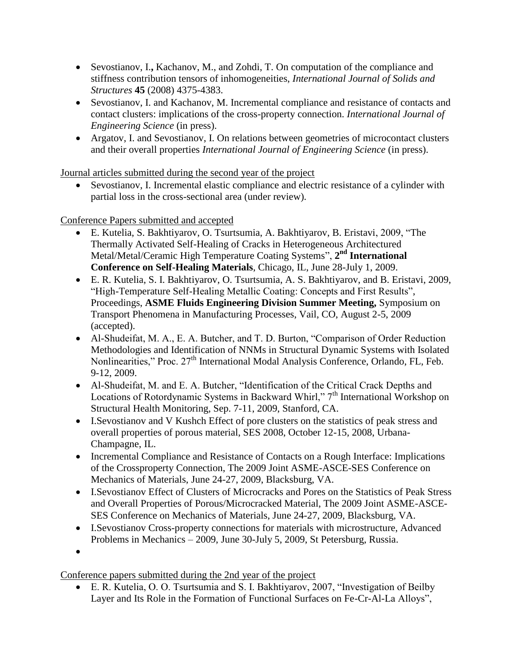- Sevostianov, I.**,** Kachanov, M., and Zohdi, T. On computation of the compliance and stiffness contribution tensors of inhomogeneities, *International Journal of Solids and Structures* **45** (2008) 4375-4383.
- Sevostianov, I. and Kachanov, M. Incremental compliance and resistance of contacts and contact clusters: implications of the cross-property connection. *International Journal of Engineering Science* (in press).
- Argatov, I. and Sevostianov, I. On relations between geometries of microcontact clusters and their overall properties *International Journal of Engineering Science* (in press).

Journal articles submitted during the second year of the project

 Sevostianov, I. Incremental elastic compliance and electric resistance of a cylinder with partial loss in the cross-sectional area (under review).

Conference Papers submitted and accepted

- E. Kutelia, S. Bakhtiyarov, O. Tsurtsumia, A. Bakhtiyarov, B. Eristavi, 2009, "The Thermally Activated Self-Healing of Cracks in Heterogeneous Architectured Metal/Metal/Ceramic High Temperature Coating Systems", 2<sup>nd</sup> International **Conference on Self-Healing Materials**, Chicago, IL, June 28-July 1, 2009.
- E. R. Kutelia, S. I. Bakhtiyarov, O. Tsurtsumia, A. S. Bakhtiyarov, and B. Eristavi, 2009, "High-Temperature Self-Healing Metallic Coating: Concepts and First Results", Proceedings, **ASME Fluids Engineering Division Summer Meeting,** Symposium on Transport Phenomena in Manufacturing Processes, Vail, CO, August 2-5, 2009 (accepted).
- Al-Shudeifat, M. A., E. A. Butcher, and T. D. Burton, "Comparison of Order Reduction Methodologies and Identification of NNMs in Structural Dynamic Systems with Isolated Nonlinearities," Proc.  $27<sup>th</sup>$  International Modal Analysis Conference, Orlando, FL, Feb. 9-12, 2009.
- Al-Shudeifat, M. and E. A. Butcher, "Identification of the Critical Crack Depths and Locations of Rotordynamic Systems in Backward Whirl," 7<sup>th</sup> International Workshop on Structural Health Monitoring, Sep. 7-11, 2009, Stanford, CA.
- I.Sevostianov and V Kushch Effect of pore clusters on the statistics of peak stress and overall properties of porous material, SES 2008, October 12-15, 2008, Urbana-Champagne, IL.
- Incremental Compliance and Resistance of Contacts on a Rough Interface: Implications of the Crossproperty Connection, The 2009 Joint ASME-ASCE-SES Conference on Mechanics of Materials, June 24-27, 2009, Blacksburg, VA.
- I.Sevostianov Effect of Clusters of Microcracks and Pores on the Statistics of Peak Stress and Overall Properties of Porous/Microcracked Material, The 2009 Joint ASME-ASCE-SES Conference on Mechanics of Materials, June 24-27, 2009, Blacksburg, VA.
- I.Sevostianov Cross-property connections for materials with microstructure, Advanced Problems in Mechanics – 2009, June 30-July 5, 2009, St Petersburg, Russia.
- $\bullet$

Conference papers submitted during the 2nd year of the project

 E. R. Kutelia, O. O. Tsurtsumia and S. I. Bakhtiyarov, 2007, "Investigation of Beilby Layer and Its Role in the Formation of Functional Surfaces on Fe-Cr-Al-La Alloys",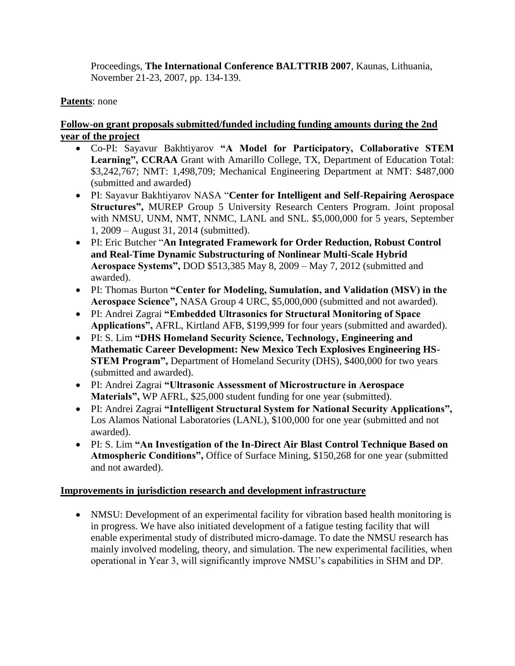Proceedings, **The International Conference BALTTRIB 2007**, Kaunas, Lithuania, November 21-23, 2007, pp. 134-139.

# **Patents**: none

# **Follow-on grant proposals submitted/funded including funding amounts during the 2nd year of the project**

- Co-PI: Sayavur Bakhtiyarov **"A Model for Participatory, Collaborative STEM Learning", CCRAA** Grant with Amarillo College, TX, Department of Education Total: \$3,242,767; NMT: 1,498,709; Mechanical Engineering Department at NMT: \$487,000 (submitted and awarded)
- PI: Sayavur Bakhtiyarov NASA "**Center for Intelligent and Self-Repairing Aerospace Structures",** MUREP Group 5 University Research Centers Program. Joint proposal with NMSU, UNM, NMT, NNMC, LANL and SNL. \$5,000,000 for 5 years, September 1, 2009 – August 31, 2014 (submitted).
- PI: Eric Butcher "**An Integrated Framework for Order Reduction, Robust Control and Real-Time Dynamic Substructuring of Nonlinear Multi-Scale Hybrid Aerospace Systems",** DOD \$513,385 May 8, 2009 – May 7, 2012 (submitted and awarded).
- PI: Thomas Burton **"Center for Modeling, Sumulation, and Validation (MSV) in the Aerospace Science",** NASA Group 4 URC, \$5,000,000 (submitted and not awarded).
- PI: Andrei Zagrai **"Embedded Ultrasonics for Structural Monitoring of Space Applications",** AFRL, Kirtland AFB, \$199,999 for four years (submitted and awarded).
- PI: S. Lim **"DHS Homeland Security Science, Technology, Engineering and Mathematic Career Development: New Mexico Tech Explosives Engineering HS-STEM Program",** Department of Homeland Security (DHS), \$400,000 for two years (submitted and awarded).
- PI: Andrei Zagrai **"Ultrasonic Assessment of Microstructure in Aerospace Materials",** WP AFRL, \$25,000 student funding for one year (submitted).
- PI: Andrei Zagrai **"Intelligent Structural System for National Security Applications",**  Los Alamos National Laboratories (LANL), \$100,000 for one year (submitted and not awarded).
- PI: S. Lim **"An Investigation of the In-Direct Air Blast Control Technique Based on Atmospheric Conditions",** Office of Surface Mining, \$150,268 for one year (submitted and not awarded).

### **Improvements in jurisdiction research and development infrastructure**

• NMSU: Development of an experimental facility for vibration based health monitoring is in progress. We have also initiated development of a fatigue testing facility that will enable experimental study of distributed micro-damage. To date the NMSU research has mainly involved modeling, theory, and simulation. The new experimental facilities, when operational in Year 3, will significantly improve NMSU's capabilities in SHM and DP.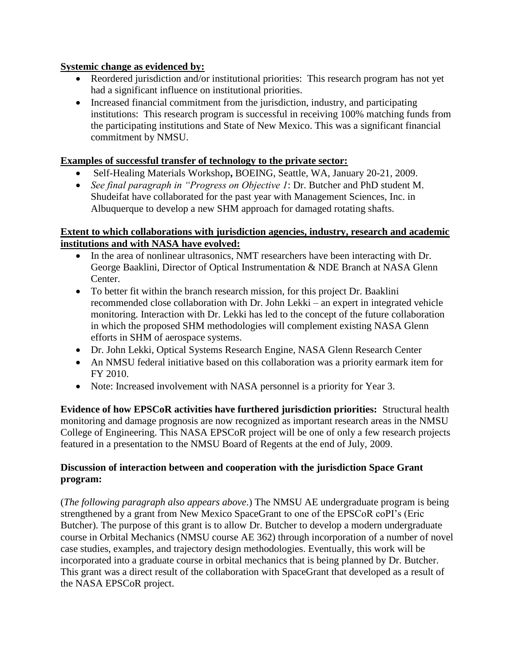## **Systemic change as evidenced by:**

- Reordered jurisdiction and/or institutional priorities: This research program has not yet had a significant influence on institutional priorities.
- Increased financial commitment from the jurisdiction, industry, and participating institutions: This research program is successful in receiving 100% matching funds from the participating institutions and State of New Mexico. This was a significant financial commitment by NMSU.

# **Examples of successful transfer of technology to the private sector:**

- Self-Healing Materials Workshop**,** BOEING, Seattle, WA, January 20-21, 2009.
- *See final paragraph in "Progress on Objective 1*: Dr. Butcher and PhD student M. Shudeifat have collaborated for the past year with Management Sciences, Inc. in Albuquerque to develop a new SHM approach for damaged rotating shafts.

#### **Extent to which collaborations with jurisdiction agencies, industry, research and academic institutions and with NASA have evolved:**

- In the area of nonlinear ultrasonics, NMT researchers have been interacting with Dr. George Baaklini, Director of Optical Instrumentation & NDE Branch at NASA Glenn Center.
- To better fit within the branch research mission, for this project Dr. Baaklini recommended close collaboration with Dr. John Lekki – an expert in integrated vehicle monitoring. Interaction with Dr. Lekki has led to the concept of the future collaboration in which the proposed SHM methodologies will complement existing NASA Glenn efforts in SHM of aerospace systems.
- Dr. John Lekki, Optical Systems Research Engine, NASA Glenn Research Center
- An NMSU federal initiative based on this collaboration was a priority earmark item for FY 2010.
- Note: Increased involvement with NASA personnel is a priority for Year 3.

**Evidence of how EPSCoR activities have furthered jurisdiction priorities:** Structural health monitoring and damage prognosis are now recognized as important research areas in the NMSU College of Engineering. This NASA EPSCoR project will be one of only a few research projects featured in a presentation to the NMSU Board of Regents at the end of July, 2009.

# **Discussion of interaction between and cooperation with the jurisdiction Space Grant program:**

(*The following paragraph also appears above*.) The NMSU AE undergraduate program is being strengthened by a grant from New Mexico SpaceGrant to one of the EPSCoR coPI's (Eric Butcher). The purpose of this grant is to allow Dr. Butcher to develop a modern undergraduate course in Orbital Mechanics (NMSU course AE 362) through incorporation of a number of novel case studies, examples, and trajectory design methodologies. Eventually, this work will be incorporated into a graduate course in orbital mechanics that is being planned by Dr. Butcher. This grant was a direct result of the collaboration with SpaceGrant that developed as a result of the NASA EPSCoR project.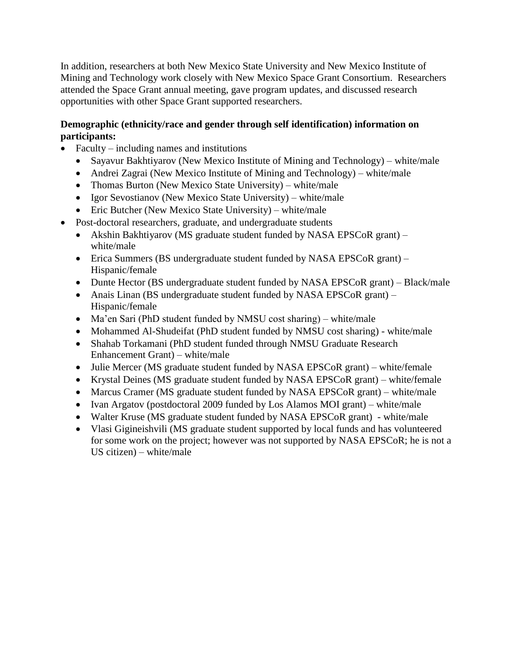In addition, researchers at both New Mexico State University and New Mexico Institute of Mining and Technology work closely with New Mexico Space Grant Consortium. Researchers attended the Space Grant annual meeting, gave program updates, and discussed research opportunities with other Space Grant supported researchers.

# **Demographic (ethnicity/race and gender through self identification) information on participants:**

- Faculty including names and institutions
	- Sayavur Bakhtiyarov (New Mexico Institute of Mining and Technology) white/male
	- Andrei Zagrai (New Mexico Institute of Mining and Technology) white/male
	- Thomas Burton (New Mexico State University) white/male
	- Igor Sevostianov (New Mexico State University) white/male
	- Eric Butcher (New Mexico State University) white/male
- Post-doctoral researchers, graduate, and undergraduate students
	- Akshin Bakhtiyarov (MS graduate student funded by NASA EPSCoR grant) white/male
	- Erica Summers (BS undergraduate student funded by NASA EPSCoR grant) Hispanic/female
	- Dunte Hector (BS undergraduate student funded by NASA EPSCoR grant) Black/male
	- Anais Linan (BS undergraduate student funded by NASA EPSCoR grant) Hispanic/female
	- Ma'en Sari (PhD student funded by NMSU cost sharing) white/male
	- Mohammed Al-Shudeifat (PhD student funded by NMSU cost sharing) white/male
	- Shahab Torkamani (PhD student funded through NMSU Graduate Research Enhancement Grant) – white/male
	- Julie Mercer (MS graduate student funded by NASA EPSCoR grant) white/female
	- Krystal Deines (MS graduate student funded by NASA EPSCoR grant) white/female
	- Marcus Cramer (MS graduate student funded by NASA EPSCoR grant) white/male
	- Ivan Argatov (postdoctoral 2009 funded by Los Alamos MOI grant) white/male
	- Walter Kruse (MS graduate student funded by NASA EPSCoR grant) white/male
	- Vlasi Gigineishvili (MS graduate student supported by local funds and has volunteered for some work on the project; however was not supported by NASA EPSCoR; he is not a US citizen) – white/male